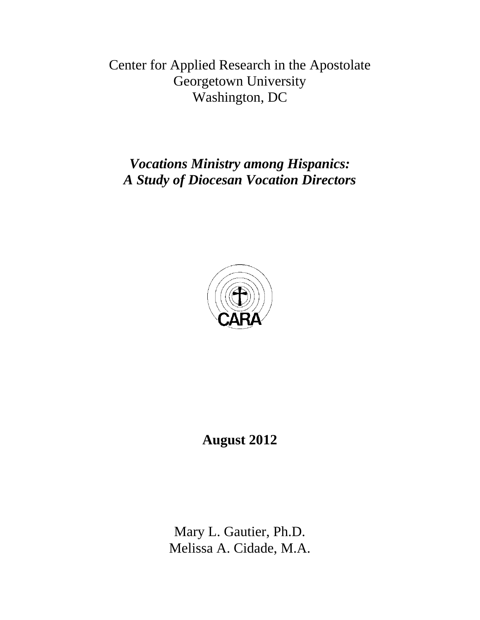Center for Applied Research in the Apostolate Georgetown University Washington, DC

*Vocations Ministry among Hispanics: A Study of Diocesan Vocation Directors*



**August 2012** 

Mary L. Gautier, Ph.D. Melissa A. Cidade, M.A.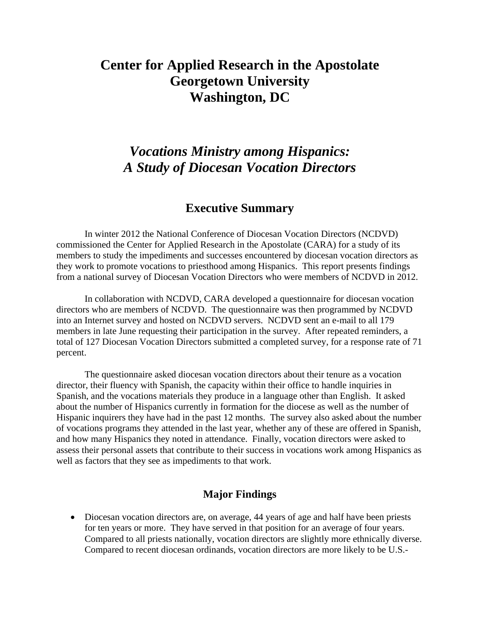## **Center for Applied Research in the Apostolate Georgetown University Washington, DC**

## *Vocations Ministry among Hispanics: A Study of Diocesan Vocation Directors*

## **Executive Summary**

 In winter 2012 the National Conference of Diocesan Vocation Directors (NCDVD) commissioned the Center for Applied Research in the Apostolate (CARA) for a study of its members to study the impediments and successes encountered by diocesan vocation directors as they work to promote vocations to priesthood among Hispanics. This report presents findings from a national survey of Diocesan Vocation Directors who were members of NCDVD in 2012.

In collaboration with NCDVD, CARA developed a questionnaire for diocesan vocation directors who are members of NCDVD. The questionnaire was then programmed by NCDVD into an Internet survey and hosted on NCDVD servers. NCDVD sent an e-mail to all 179 members in late June requesting their participation in the survey. After repeated reminders, a total of 127 Diocesan Vocation Directors submitted a completed survey, for a response rate of 71 percent.

 The questionnaire asked diocesan vocation directors about their tenure as a vocation director, their fluency with Spanish, the capacity within their office to handle inquiries in Spanish, and the vocations materials they produce in a language other than English. It asked about the number of Hispanics currently in formation for the diocese as well as the number of Hispanic inquirers they have had in the past 12 months. The survey also asked about the number of vocations programs they attended in the last year, whether any of these are offered in Spanish, and how many Hispanics they noted in attendance. Finally, vocation directors were asked to assess their personal assets that contribute to their success in vocations work among Hispanics as well as factors that they see as impediments to that work.

## **Major Findings**

• Diocesan vocation directors are, on average, 44 years of age and half have been priests for ten years or more. They have served in that position for an average of four years. Compared to all priests nationally, vocation directors are slightly more ethnically diverse. Compared to recent diocesan ordinands, vocation directors are more likely to be U.S.-